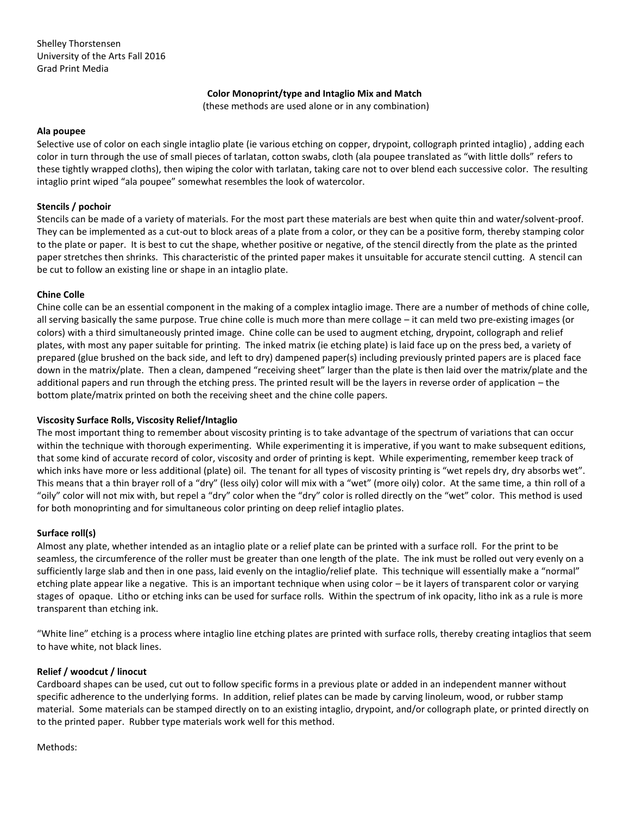## **Color Monoprint/type and Intaglio Mix and Match**

(these methods are used alone or in any combination)

#### **Ala poupee**

Selective use of color on each single intaglio plate (ie various etching on copper, drypoint, collograph printed intaglio) , adding each color in turn through the use of small pieces of tarlatan, cotton swabs, cloth (ala poupee translated as "with little dolls" refers to these tightly wrapped cloths), then wiping the color with tarlatan, taking care not to over blend each successive color. The resulting intaglio print wiped "ala poupee" somewhat resembles the look of watercolor.

## **Stencils / pochoir**

Stencils can be made of a variety of materials. For the most part these materials are best when quite thin and water/solvent-proof. They can be implemented as a cut-out to block areas of a plate from a color, or they can be a positive form, thereby stamping color to the plate or paper. It is best to cut the shape, whether positive or negative, of the stencil directly from the plate as the printed paper stretches then shrinks. This characteristic of the printed paper makes it unsuitable for accurate stencil cutting. A stencil can be cut to follow an existing line or shape in an intaglio plate.

#### **Chine Colle**

Chine colle can be an essential component in the making of a complex intaglio image. There are a number of methods of chine colle, all serving basically the same purpose. True chine colle is much more than mere collage – it can meld two pre-existing images (or colors) with a third simultaneously printed image. Chine colle can be used to augment etching, drypoint, collograph and relief plates, with most any paper suitable for printing. The inked matrix (ie etching plate) is laid face up on the press bed, a variety of prepared (glue brushed on the back side, and left to dry) dampened paper(s) including previously printed papers are is placed face down in the matrix/plate. Then a clean, dampened "receiving sheet" larger than the plate is then laid over the matrix/plate and the additional papers and run through the etching press. The printed result will be the layers in reverse order of application – the bottom plate/matrix printed on both the receiving sheet and the chine colle papers.

# **Viscosity Surface Rolls, Viscosity Relief/Intaglio**

The most important thing to remember about viscosity printing is to take advantage of the spectrum of variations that can occur within the technique with thorough experimenting. While experimenting it is imperative, if you want to make subsequent editions, that some kind of accurate record of color, viscosity and order of printing is kept. While experimenting, remember keep track of which inks have more or less additional (plate) oil. The tenant for all types of viscosity printing is "wet repels dry, dry absorbs wet". This means that a thin brayer roll of a "dry" (less oily) color will mix with a "wet" (more oily) color. At the same time, a thin roll of a "oily" color will not mix with, but repel a "dry" color when the "dry" color is rolled directly on the "wet" color. This method is used for both monoprinting and for simultaneous color printing on deep relief intaglio plates.

# **Surface roll(s)**

Almost any plate, whether intended as an intaglio plate or a relief plate can be printed with a surface roll. For the print to be seamless, the circumference of the roller must be greater than one length of the plate. The ink must be rolled out very evenly on a sufficiently large slab and then in one pass, laid evenly on the intaglio/relief plate. This technique will essentially make a "normal" etching plate appear like a negative. This is an important technique when using color – be it layers of transparent color or varying stages of opaque. Litho or etching inks can be used for surface rolls. Within the spectrum of ink opacity, litho ink as a rule is more transparent than etching ink.

"White line" etching is a process where intaglio line etching plates are printed with surface rolls, thereby creating intaglios that seem to have white, not black lines.

#### **Relief / woodcut / linocut**

Cardboard shapes can be used, cut out to follow specific forms in a previous plate or added in an independent manner without specific adherence to the underlying forms. In addition, relief plates can be made by carving linoleum, wood, or rubber stamp material. Some materials can be stamped directly on to an existing intaglio, drypoint, and/or collograph plate, or printed directly on to the printed paper. Rubber type materials work well for this method.

Methods: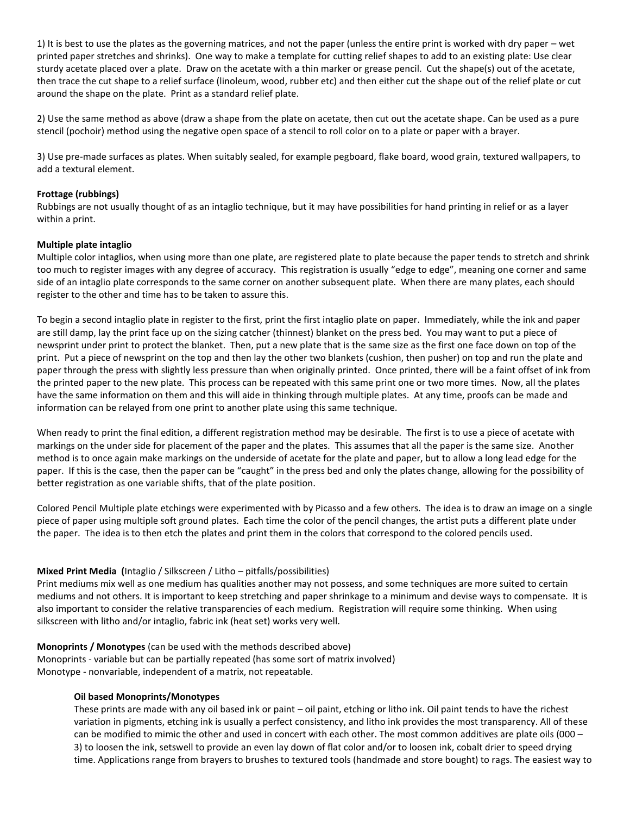1) It is best to use the plates as the governing matrices, and not the paper (unless the entire print is worked with dry paper – wet printed paper stretches and shrinks). One way to make a template for cutting relief shapes to add to an existing plate: Use clear sturdy acetate placed over a plate. Draw on the acetate with a thin marker or grease pencil. Cut the shape(s) out of the acetate, then trace the cut shape to a relief surface (linoleum, wood, rubber etc) and then either cut the shape out of the relief plate or cut around the shape on the plate. Print as a standard relief plate.

2) Use the same method as above (draw a shape from the plate on acetate, then cut out the acetate shape. Can be used as a pure stencil (pochoir) method using the negative open space of a stencil to roll color on to a plate or paper with a brayer.

3) Use pre-made surfaces as plates. When suitably sealed, for example pegboard, flake board, wood grain, textured wallpapers, to add a textural element.

## **Frottage (rubbings)**

Rubbings are not usually thought of as an intaglio technique, but it may have possibilities for hand printing in relief or as a layer within a print.

## **Multiple plate intaglio**

Multiple color intaglios, when using more than one plate, are registered plate to plate because the paper tends to stretch and shrink too much to register images with any degree of accuracy. This registration is usually "edge to edge", meaning one corner and same side of an intaglio plate corresponds to the same corner on another subsequent plate. When there are many plates, each should register to the other and time has to be taken to assure this.

To begin a second intaglio plate in register to the first, print the first intaglio plate on paper. Immediately, while the ink and paper are still damp, lay the print face up on the sizing catcher (thinnest) blanket on the press bed. You may want to put a piece of newsprint under print to protect the blanket. Then, put a new plate that is the same size as the first one face down on top of the print. Put a piece of newsprint on the top and then lay the other two blankets (cushion, then pusher) on top and run the plate and paper through the press with slightly less pressure than when originally printed. Once printed, there will be a faint offset of ink from the printed paper to the new plate. This process can be repeated with this same print one or two more times. Now, all the plates have the same information on them and this will aide in thinking through multiple plates. At any time, proofs can be made and information can be relayed from one print to another plate using this same technique.

When ready to print the final edition, a different registration method may be desirable. The first is to use a piece of acetate with markings on the under side for placement of the paper and the plates. This assumes that all the paper is the same size. Another method is to once again make markings on the underside of acetate for the plate and paper, but to allow a long lead edge for the paper. If this is the case, then the paper can be "caught" in the press bed and only the plates change, allowing for the possibility of better registration as one variable shifts, that of the plate position.

Colored Pencil Multiple plate etchings were experimented with by Picasso and a few others. The idea is to draw an image on a single piece of paper using multiple soft ground plates. Each time the color of the pencil changes, the artist puts a different plate under the paper. The idea is to then etch the plates and print them in the colors that correspond to the colored pencils used.

# **Mixed Print Media (**Intaglio / Silkscreen / Litho – pitfalls/possibilities)

Print mediums mix well as one medium has qualities another may not possess, and some techniques are more suited to certain mediums and not others. It is important to keep stretching and paper shrinkage to a minimum and devise ways to compensate. It is also important to consider the relative transparencies of each medium. Registration will require some thinking. When using silkscreen with litho and/or intaglio, fabric ink (heat set) works very well.

**Monoprints / Monotypes** (can be used with the methods described above) Monoprints - variable but can be partially repeated (has some sort of matrix involved) Monotype - nonvariable, independent of a matrix, not repeatable.

#### **Oil based Monoprints/Monotypes**

These prints are made with any oil based ink or paint – oil paint, etching or litho ink. Oil paint tends to have the richest variation in pigments, etching ink is usually a perfect consistency, and litho ink provides the most transparency. All of these can be modified to mimic the other and used in concert with each other. The most common additives are plate oils (000 – 3) to loosen the ink, setswell to provide an even lay down of flat color and/or to loosen ink, cobalt drier to speed drying time. Applications range from brayers to brushes to textured tools (handmade and store bought) to rags. The easiest way to